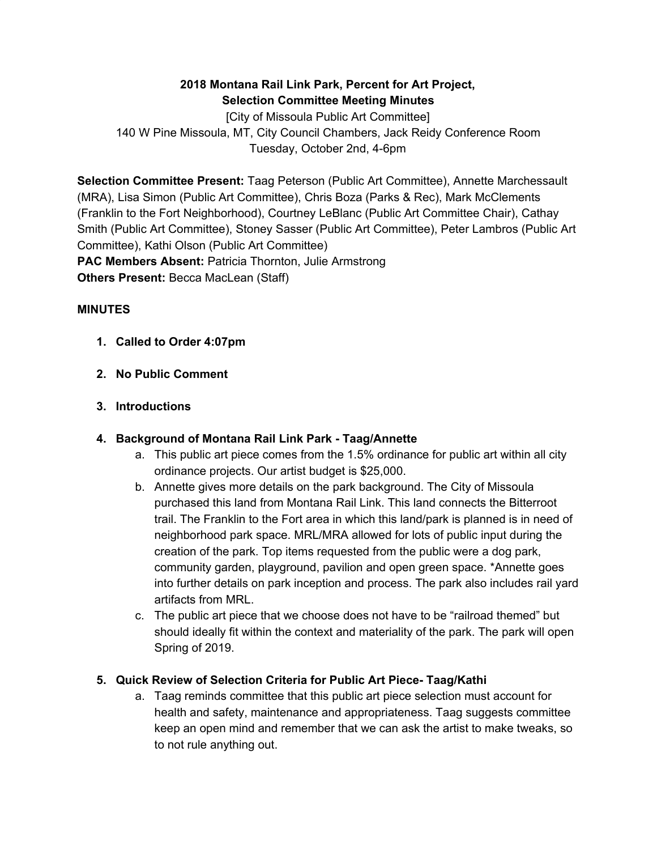## **2018 Montana Rail Link Park, Percent for Art Project, Selection Committee Meeting Minutes**

[City of Missoula Public Art Committee] 140 W Pine Missoula, MT, City Council Chambers, Jack Reidy Conference Room Tuesday, October 2nd, 4-6pm

**Selection Committee Present:** Taag Peterson (Public Art Committee), Annette Marchessault (MRA), Lisa Simon (Public Art Committee), Chris Boza (Parks & Rec), Mark McClements (Franklin to the Fort Neighborhood), Courtney LeBlanc (Public Art Committee Chair), Cathay Smith (Public Art Committee), Stoney Sasser (Public Art Committee), Peter Lambros (Public Art Committee), Kathi Olson (Public Art Committee) **PAC Members Absent:** Patricia Thornton, Julie Armstrong

**Others Present:** Becca MacLean (Staff)

### **MINUTES**

- **1. Called to Order 4:07pm**
- **2. No Public Comment**
- **3. Introductions**

#### **4. Background of Montana Rail Link Park - Taag/Annette**

- a. This public art piece comes from the 1.5% ordinance for public art within all city ordinance projects. Our artist budget is \$25,000.
- b. Annette gives more details on the park background. The City of Missoula purchased this land from Montana Rail Link. This land connects the Bitterroot trail. The Franklin to the Fort area in which this land/park is planned is in need of neighborhood park space. MRL/MRA allowed for lots of public input during the creation of the park. Top items requested from the public were a dog park, community garden, playground, pavilion and open green space. \*Annette goes into further details on park inception and process. The park also includes rail yard artifacts from MRL.
- c. The public art piece that we choose does not have to be "railroad themed" but should ideally fit within the context and materiality of the park. The park will open Spring of 2019.

## **5. Quick Review of Selection Criteria for Public Art Piece- Taag/Kathi**

a. Taag reminds committee that this public art piece selection must account for health and safety, maintenance and appropriateness. Taag suggests committee keep an open mind and remember that we can ask the artist to make tweaks, so to not rule anything out.